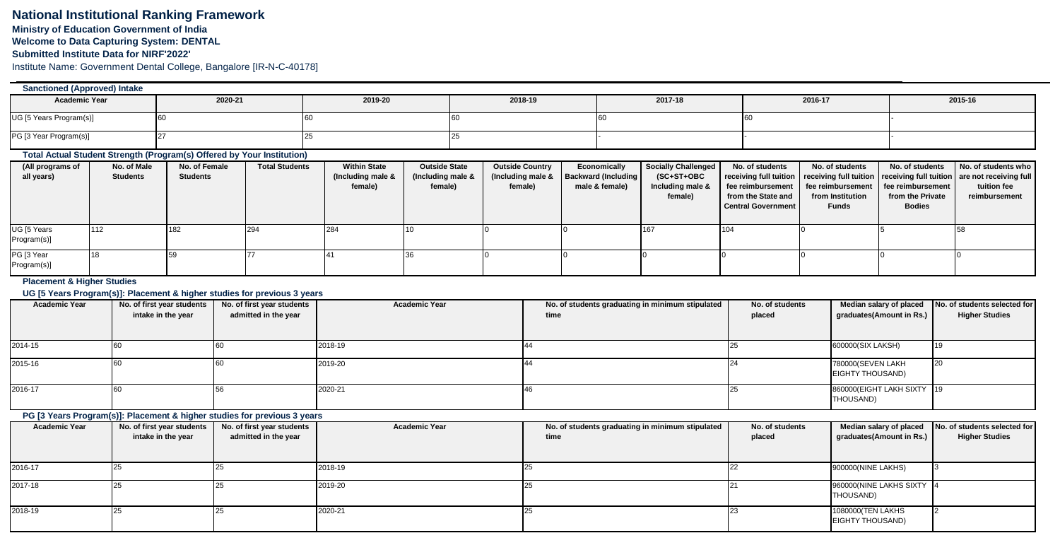# **National Institutional Ranking Framework Ministry of Education Government of India**

**Welcome to Data Capturing System: DENTAL**

**Submitted Institute Data for NIRF'2022'**

Institute Name: Government Dental College, Bangalore [IR-N-C-40178]

# UG [5 Years Program(s)] 60 60 60 60 60 - PG [3 Year Program(s)] 27 25 25 - - - **Sanctioned (Approved) Intake Academic Year 2020-21 2019-20 2018-19 2017-18 2016-17 2015-16**

## **Total Actual Student Strength (Program(s) Offered by Your Institution)**

| (All programs of | No. of Male     | No. of Female   | <b>Total Students</b> | <b>Within State</b> | <b>Outside State</b> | <b>Outside Country</b> | Economically               | <b>Socially Challenged</b> | No. of students           | No. of students                                                                                   | No. of students  | No. of students who |
|------------------|-----------------|-----------------|-----------------------|---------------------|----------------------|------------------------|----------------------------|----------------------------|---------------------------|---------------------------------------------------------------------------------------------------|------------------|---------------------|
| all years)       | <b>Students</b> | <b>Students</b> |                       | (Including male &   | (Including male &    | (Including male &      | <b>Backward (Including</b> | (SC+ST+OBC                 |                           | receiving full tuition   receiving full tuition   receiving full tuition   are not receiving full |                  |                     |
|                  |                 |                 |                       | female)             | female)              | female)                | male & female)             | Including male &           |                           | fee reimbursement   fee reimbursement   fee reimbursement                                         |                  | tuition fee         |
|                  |                 |                 |                       |                     |                      |                        |                            | female)                    | from the State and        | from Institution                                                                                  | from the Private | reimbursement       |
|                  |                 |                 |                       |                     |                      |                        |                            |                            | <b>Central Government</b> | <b>Funds</b>                                                                                      | <b>Bodies</b>    |                     |
|                  |                 |                 |                       |                     |                      |                        |                            |                            |                           |                                                                                                   |                  |                     |
| UG [5 Years      | 112             | 182             |                       | 284                 |                      |                        |                            |                            |                           |                                                                                                   |                  |                     |
| Program(s)]      |                 |                 |                       |                     |                      |                        |                            |                            |                           |                                                                                                   |                  |                     |
| PG [3 Year       |                 |                 |                       |                     |                      |                        |                            |                            |                           |                                                                                                   |                  |                     |
| Program(s)]      |                 |                 |                       |                     |                      |                        |                            |                            |                           |                                                                                                   |                  |                     |

#### **Placement & Higher Studies**

### **UG [5 Years Program(s)]: Placement & higher studies for previous 3 years**

| Academic Year | No. of first year students | No. of first year students | <b>Academic Year</b> | No. of students graduating in minimum stipulated | No. of students | Median salary of placed    | No. of students selected for |
|---------------|----------------------------|----------------------------|----------------------|--------------------------------------------------|-----------------|----------------------------|------------------------------|
|               | intake in the year         | admitted in the year       |                      | time                                             | placed          | graduates(Amount in Rs.)   | <b>Higher Studies</b>        |
|               |                            |                            |                      |                                                  |                 |                            |                              |
|               |                            |                            |                      |                                                  |                 |                            |                              |
| 2014-15       |                            |                            | 2018-19              |                                                  |                 | 600000(SIX LAKSH)          |                              |
|               |                            |                            |                      |                                                  |                 |                            |                              |
| 2015-16       |                            |                            | 2019-20              |                                                  |                 | 780000(SEVEN LAKH          |                              |
|               |                            |                            |                      |                                                  |                 | EIGHTY THOUSAND)           |                              |
|               |                            |                            |                      |                                                  |                 |                            |                              |
| 2016-17       |                            |                            | 2020-21              |                                                  |                 | 860000(EIGHT LAKH SIXTY 19 |                              |
|               |                            |                            |                      |                                                  |                 | THOUSAND)                  |                              |
|               |                            |                            |                      |                                                  |                 |                            |                              |

# **PG [3 Years Program(s)]: Placement & higher studies for previous 3 years**

| <b>Academic Year</b> | No. of first year students | No. of first year students | <b>Academic Year</b> | No. of students graduating in minimum stipulated | No. of students |                                        | Median salary of placed No. of students selected for |
|----------------------|----------------------------|----------------------------|----------------------|--------------------------------------------------|-----------------|----------------------------------------|------------------------------------------------------|
|                      | intake in the year         | admitted in the year       |                      | time                                             | placed          | graduates(Amount in Rs.)               | <b>Higher Studies</b>                                |
|                      |                            |                            |                      |                                                  |                 |                                        |                                                      |
| 2016-17              |                            |                            | 2018-19              |                                                  |                 | 900000(NINE LAKHS)                     |                                                      |
| 2017-18              |                            |                            | 2019-20              |                                                  |                 | 960000(NINE LAKHS SIXTY<br>THOUSAND)   |                                                      |
| 2018-19              |                            |                            | 2020-21              |                                                  |                 | 1080000 (TEN LAKHS<br>EIGHTY THOUSAND) |                                                      |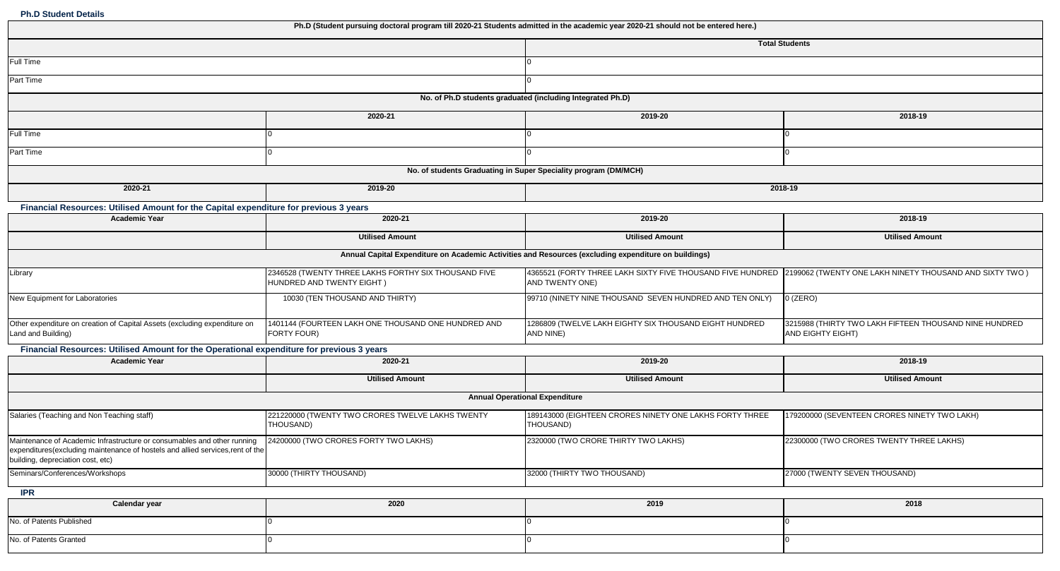**Ph.D Student Details**

|                                                                                                                                                                                                | Ph.D (Student pursuing doctoral program till 2020-21 Students admitted in the academic year 2020-21 should not be entered here.) |                                                                                                                                       |                                                                             |
|------------------------------------------------------------------------------------------------------------------------------------------------------------------------------------------------|----------------------------------------------------------------------------------------------------------------------------------|---------------------------------------------------------------------------------------------------------------------------------------|-----------------------------------------------------------------------------|
|                                                                                                                                                                                                |                                                                                                                                  |                                                                                                                                       | <b>Total Students</b>                                                       |
| Full Time                                                                                                                                                                                      |                                                                                                                                  |                                                                                                                                       |                                                                             |
| Part Time                                                                                                                                                                                      |                                                                                                                                  |                                                                                                                                       |                                                                             |
|                                                                                                                                                                                                | No. of Ph.D students graduated (including Integrated Ph.D)                                                                       |                                                                                                                                       |                                                                             |
|                                                                                                                                                                                                | 2020-21                                                                                                                          | 2019-20                                                                                                                               | 2018-19                                                                     |
| Full Time                                                                                                                                                                                      |                                                                                                                                  |                                                                                                                                       |                                                                             |
| Part Time                                                                                                                                                                                      |                                                                                                                                  |                                                                                                                                       |                                                                             |
|                                                                                                                                                                                                | No. of students Graduating in Super Speciality program (DM/MCH)                                                                  |                                                                                                                                       |                                                                             |
| 2020-21                                                                                                                                                                                        | 2019-20                                                                                                                          |                                                                                                                                       | 2018-19                                                                     |
| Financial Resources: Utilised Amount for the Capital expenditure for previous 3 years                                                                                                          |                                                                                                                                  |                                                                                                                                       |                                                                             |
| <b>Academic Year</b>                                                                                                                                                                           | 2020-21                                                                                                                          | 2019-20                                                                                                                               | 2018-19                                                                     |
|                                                                                                                                                                                                | <b>Utilised Amount</b>                                                                                                           | <b>Utilised Amount</b>                                                                                                                | <b>Utilised Amount</b>                                                      |
|                                                                                                                                                                                                | Annual Capital Expenditure on Academic Activities and Resources (excluding expenditure on buildings)                             |                                                                                                                                       |                                                                             |
| Library                                                                                                                                                                                        | 2346528 (TWENTY THREE LAKHS FORTHY SIX THOUSAND FIVE<br>HUNDRED AND TWENTY EIGHT)                                                | 4365521 (FORTY THREE LAKH SIXTY FIVE THOUSAND FIVE HUNDRED 2199062 (TWENTY ONE LAKH NINETY THOUSAND AND SIXTY TWO)<br>AND TWENTY ONE) |                                                                             |
| New Equipment for Laboratories                                                                                                                                                                 | 10030 (TEN THOUSAND AND THIRTY)                                                                                                  | 99710 (NINETY NINE THOUSAND SEVEN HUNDRED AND TEN ONLY)                                                                               | $0$ (ZERO)                                                                  |
| Other expenditure on creation of Capital Assets (excluding expenditure on<br>Land and Building)                                                                                                | 1401144 (FOURTEEN LAKH ONE THOUSAND ONE HUNDRED AND<br>FORTY FOUR)                                                               | 1286809 (TWELVE LAKH EIGHTY SIX THOUSAND EIGHT HUNDRED<br>AND NINE)                                                                   | 3215988 (THIRTY TWO LAKH FIFTEEN THOUSAND NINE HUNDRED<br>AND EIGHTY EIGHT) |
| Financial Resources: Utilised Amount for the Operational expenditure for previous 3 years                                                                                                      |                                                                                                                                  |                                                                                                                                       |                                                                             |
| <b>Academic Year</b>                                                                                                                                                                           | 2020-21                                                                                                                          | 2019-20                                                                                                                               | 2018-19                                                                     |
|                                                                                                                                                                                                | <b>Utilised Amount</b>                                                                                                           | <b>Utilised Amount</b>                                                                                                                | <b>Utilised Amount</b>                                                      |
|                                                                                                                                                                                                | <b>Annual Operational Expenditure</b>                                                                                            |                                                                                                                                       |                                                                             |
| Salaries (Teaching and Non Teaching staff)                                                                                                                                                     | 221220000 (TWENTY TWO CRORES TWELVE LAKHS TWENTY<br>THOUSAND)                                                                    | 189143000 (EIGHTEEN CRORES NINETY ONE LAKHS FORTY THREE<br>THOUSAND)                                                                  | 179200000 (SEVENTEEN CRORES NINETY TWO LAKH)                                |
| Maintenance of Academic Infrastructure or consumables and other running<br>expenditures(excluding maintenance of hostels and allied services, rent of the<br>building, depreciation cost, etc) | 24200000 (TWO CRORES FORTY TWO LAKHS)                                                                                            | 2320000 (TWO CRORE THIRTY TWO LAKHS)                                                                                                  | 22300000 (TWO CRORES TWENTY THREE LAKHS)                                    |
| Seminars/Conferences/Workshops                                                                                                                                                                 | 30000 (THIRTY THOUSAND)                                                                                                          | 32000 (THIRTY TWO THOUSAND)                                                                                                           | 27000 (TWENTY SEVEN THOUSAND)                                               |
| <b>IPR</b>                                                                                                                                                                                     |                                                                                                                                  |                                                                                                                                       |                                                                             |
| Calendar year                                                                                                                                                                                  | 2020                                                                                                                             | 2019                                                                                                                                  | 2018                                                                        |
| No. of Patents Published                                                                                                                                                                       |                                                                                                                                  |                                                                                                                                       |                                                                             |

No. of Patents Granted 0 0 0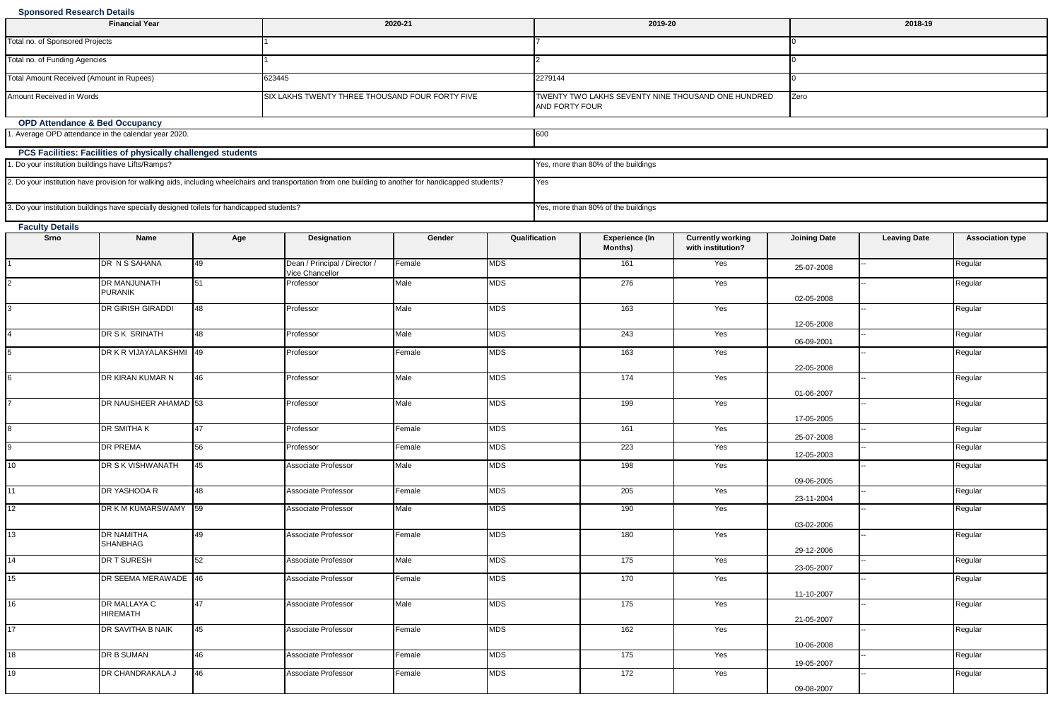#### **Sponsored Research Details**

| <b>Financial Year</b>                                                                                                                                   | 2020-21                                         | 2019-20                                                                      | 2018-19 |  |  |  |
|---------------------------------------------------------------------------------------------------------------------------------------------------------|-------------------------------------------------|------------------------------------------------------------------------------|---------|--|--|--|
| Total no. of Sponsored Projects                                                                                                                         |                                                 |                                                                              |         |  |  |  |
| Total no. of Funding Agencies                                                                                                                           |                                                 |                                                                              |         |  |  |  |
| Total Amount Received (Amount in Rupees)                                                                                                                | 623445                                          | 2279144                                                                      |         |  |  |  |
| Amount Received in Words                                                                                                                                | SIX LAKHS TWENTY THREE THOUSAND FOUR FORTY FIVE | <b>ITWENTY TWO LAKHS SEVENTY NINE THOUSAND ONE HUNDRED</b><br>AND FORTY FOUR | Zero    |  |  |  |
| <b>OPD Attendance &amp; Bed Occupancy</b>                                                                                                               |                                                 |                                                                              |         |  |  |  |
| 1. Average OPD attendance in the calendar year 2020.                                                                                                    |                                                 | 600                                                                          |         |  |  |  |
| PCS Facilities: Facilities of physically challenged students                                                                                            |                                                 |                                                                              |         |  |  |  |
| 1. Do your institution buildings have Lifts/Ramps?                                                                                                      |                                                 | Yes, more than 80% of the buildings                                          |         |  |  |  |
| 2. Do your institution have provision for walking aids, including wheelchairs and transportation from one building to another for handicapped students? |                                                 | Yes                                                                          |         |  |  |  |
| 3. Do your institution buildings have specially designed toilets for handicapped students?                                                              |                                                 | Yes, more than 80% of the buildings                                          |         |  |  |  |

| Srno | Name                            | Age | <b>Designation</b>                               | Gender | Qualification | <b>Experience (In</b><br><b>Months)</b> | <b>Currently working</b><br>with institution? | <b>Joining Date</b>      | <b>Leaving Date</b> | <b>Association type</b> |
|------|---------------------------------|-----|--------------------------------------------------|--------|---------------|-----------------------------------------|-----------------------------------------------|--------------------------|---------------------|-------------------------|
|      | DR N S SAHANA                   | 49  | Dean / Principal / Director /<br>Vice Chancellor | Female | <b>MDS</b>    | 161                                     | Yes                                           | 25-07-2008               |                     | Regular                 |
|      | DR MANJUNATH<br><b>PURANIK</b>  | 51  | Professor                                        | Male   | <b>MDS</b>    | 276                                     | Yes                                           | 02-05-2008               |                     | Regular                 |
|      | DR GIRISH GIRADDI               | 48  | Professor                                        | Male   | <b>MDS</b>    | 163                                     | Yes                                           |                          |                     | Regular                 |
|      | DR S K SRINATH                  | 48  | Professor                                        | Male   | <b>MDS</b>    | 243                                     | Yes                                           | 12-05-2008<br>06-09-2001 |                     | Regular                 |
|      | DR K R VIJAYALAKSHMI 49         |     | Professor                                        | Female | <b>MDS</b>    | 163                                     | Yes                                           | 22-05-2008               |                     | Regular                 |
|      | DR KIRAN KUMAR N                | 46  | Professor                                        | Male   | <b>MDS</b>    | 174                                     | Yes                                           |                          |                     | Regular                 |
|      | DR NAUSHEER AHAMAD 53           |     | Professor                                        | Male   | <b>MDS</b>    | 199                                     | Yes                                           | 01-06-2007               |                     | Regular                 |
|      | DR SMITHA K                     | 47  | Professor                                        | Female | <b>MDS</b>    | 161                                     | Yes                                           | 17-05-2005<br>25-07-2008 |                     | Regular                 |
| a    | <b>DR PREMA</b>                 | 56  | Professor                                        | Female | <b>MDS</b>    | 223                                     | Yes                                           | 12-05-2003               |                     | Regular                 |
| 10   | DR S K VISHWANATH               | 45  | Associate Professor                              | Male   | <b>MDS</b>    | 198                                     | Yes                                           | 09-06-2005               |                     | Regular                 |
| 11   | DR YASHODA R                    | 48  | Associate Professor                              | Female | <b>MDS</b>    | 205                                     | Yes                                           | 23-11-2004               |                     | Regular                 |
| 12   | DR K M KUMARSWAMY 59            |     | Associate Professor                              | Male   | <b>MDS</b>    | 190                                     | Yes                                           | 03-02-2006               |                     | Regular                 |
| 13   | DR NAMITHA<br><b>SHANBHAG</b>   | 49  | Associate Professor                              | Female | <b>MDS</b>    | 180                                     | Yes                                           |                          |                     | Regular                 |
| 14   | DR T SURESH                     | 52  | Associate Professor                              | Male   | MDS           | 175                                     | Yes                                           | 29-12-2006<br>23-05-2007 |                     | Regular                 |
| 15   | DR SEEMA MERAWADE 46            |     | Associate Professor                              | Female | <b>MDS</b>    | 170                                     | Yes                                           | 11-10-2007               |                     | Regular                 |
| 16   | DR MALLAYA C<br><b>HIREMATH</b> | 47  | Associate Professor                              | Male   | <b>MDS</b>    | 175                                     | Yes                                           |                          |                     | Regular                 |
| 17   | DR SAVITHA B NAIK               | 45  | Associate Professor                              | Female | <b>MDS</b>    | 162                                     | Yes                                           | 21-05-2007               |                     | Regular                 |
| 18   | DR B SUMAN                      | 46  | Associate Professor                              | Female | <b>MDS</b>    | 175                                     | Yes                                           | 10-06-2008<br>19-05-2007 |                     | Regular                 |
| 19   | DR CHANDRAKALA J                | 46  | Associate Professor                              | Female | <b>MDS</b>    | 172                                     | Yes                                           | 09-08-2007               |                     | Regular                 |